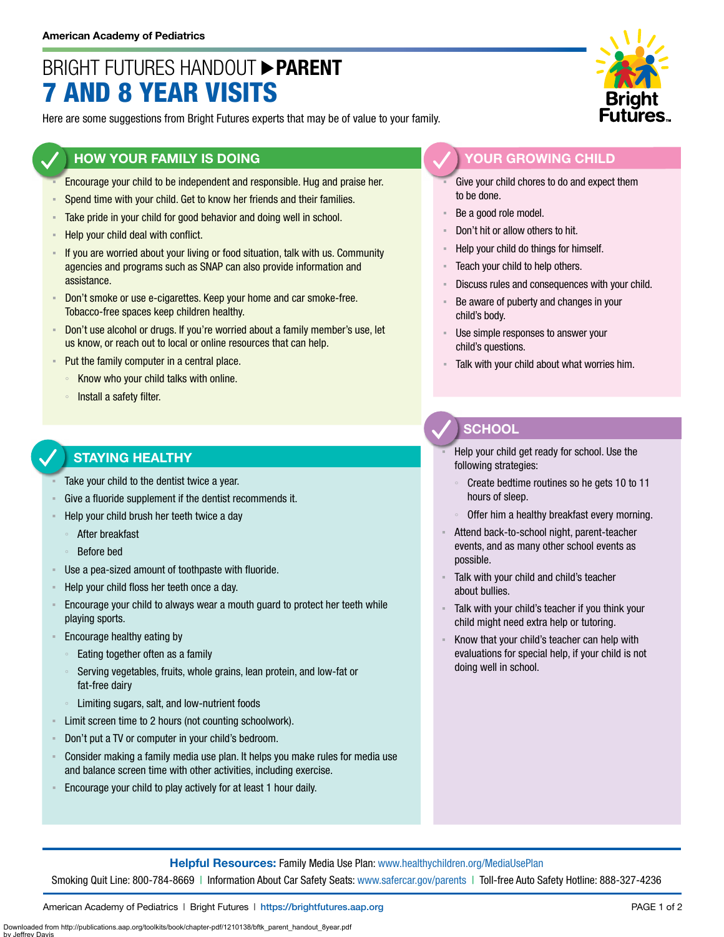# BRIGHT FUTURES HANDOUT **PARENT** 7 AND 8 YEAR VISITS

Here are some suggestions from Bright Futures experts that may be of value to your family.

### **HOW YOUR FAMILY IS DOING**

- Encourage your child to be independent and responsible. Hug and praise her.
- Spend time with your child. Get to know her friends and their families.
- **EXECT** Take pride in your child for good behavior and doing well in school.
- Help your child deal with conflict.
- If you are worried about your living or food situation, talk with us. Community agencies and programs such as SNAP can also provide information and assistance.
- Don't smoke or use e-cigarettes. Keep your home and car smoke-free. Tobacco-free spaces keep children healthy.
- Don't use alcohol or drugs. If you're worried about a family member's use, let us know, or reach out to local or online resources that can help.
- Put the family computer in a central place.
	- Know who your child talks with online.
	- Install a safety filter.

#### **STAYING HEALTHY**

- Take your child to the dentist twice a year.
- Give a fluoride supplement if the dentist recommends it.
- Help your child brush her teeth twice a day
	- After breakfast
	- Before bed
- Use a pea-sized amount of toothpaste with fluoride.
- Help your child floss her teeth once a day.
- Encourage your child to always wear a mouth guard to protect her teeth while playing sports.
- Encourage healthy eating by
	- Eating together often as a family
	- Serving vegetables, fruits, whole grains, lean protein, and low-fat or fat-free dairy
	- Limiting sugars, salt, and low-nutrient foods
- Limit screen time to 2 hours (not counting schoolwork).
- Don't put a TV or computer in your child's bedroom.
- Consider making a family media use plan. It helps you make rules for media use and balance screen time with other activities, including exercise.
- Encourage your child to play actively for at least 1 hour daily.



### **YOUR GROWING CHILD**

- Give your child chores to do and expect them to be done.
- Be a good role model.
- Don't hit or allow others to hit.
- Help your child do things for himself.
- Teach your child to help others.
- Discuss rules and consequences with your child.
- Be aware of puberty and changes in your child's body.
- Use simple responses to answer your child's questions.
- Talk with your child about what worries him.

## **SCHOOL**

- Help your child get ready for school. Use the following strategies:
- Create bedtime routines so he gets 10 to 11 hours of sleep.
- Offer him a healthy breakfast every morning.
- Attend back-to-school night, parent-teacher events, and as many other school events as possible.
- Talk with your child and child's teacher about bullies.
- Talk with your child's teacher if you think your child might need extra help or tutoring.
- Know that your child's teacher can help with evaluations for special help, if your child is not doing well in school.

**Helpful Resources:** Family Media Use Plan: [www.healthychildren.org/MediaUsePlan](https://www.healthychildren.org/English/media/Pages/default.aspx)

Smoking Quit Line: 800-784-8669 | Information About Car Safety Seats: [www.safercar.gov/parents](https://www.nhtsa.gov/parents-and-caregivers) | Toll-free Auto Safety Hotline: 888-327-4236

American Academy of Pediatrics | Bright Futures | https://[brightfutures.aap.org](https://brightfutures.aap.org/Pages/default.aspx) PAGE 1 of 2